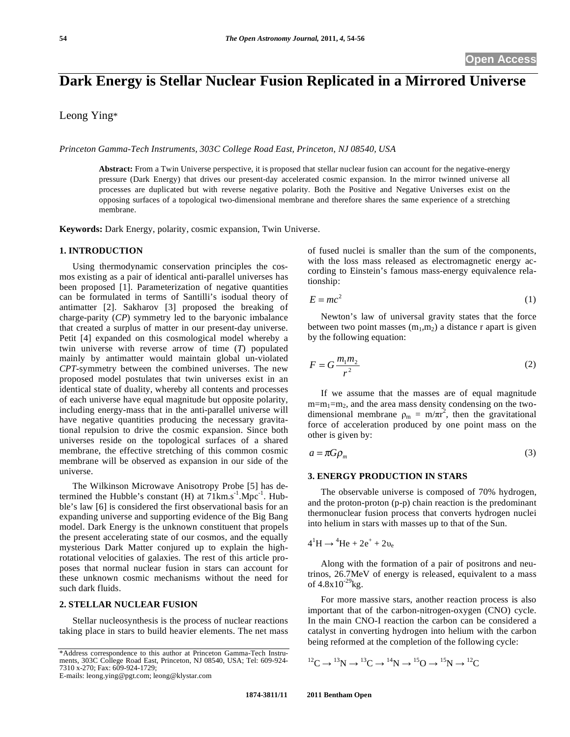# **Dark Energy is Stellar Nuclear Fusion Replicated in a Mirrored Universe**

Leong Ying\*

*Princeton Gamma-Tech Instruments, 303C College Road East, Princeton, NJ 08540, USA* 

**Abstract:** From a Twin Universe perspective, it is proposed that stellar nuclear fusion can account for the negative-energy pressure (Dark Energy) that drives our present-day accelerated cosmic expansion. In the mirror twinned universe all processes are duplicated but with reverse negative polarity. Both the Positive and Negative Universes exist on the opposing surfaces of a topological two-dimensional membrane and therefore shares the same experience of a stretching membrane.

**Keywords:** Dark Energy, polarity, cosmic expansion, Twin Universe.

## **1. INTRODUCTION**

Using thermodynamic conservation principles the cosmos existing as a pair of identical anti-parallel universes has been proposed [1]. Parameterization of negative quantities can be formulated in terms of Santilli's isodual theory of antimatter [2]. Sakharov [3] proposed the breaking of charge-parity (*CP*) symmetry led to the baryonic imbalance that created a surplus of matter in our present-day universe. Petit [4] expanded on this cosmological model whereby a twin universe with reverse arrow of time (*T*) populated mainly by antimatter would maintain global un-violated *CPT*-symmetry between the combined universes. The new proposed model postulates that twin universes exist in an identical state of duality, whereby all contents and processes of each universe have equal magnitude but opposite polarity, including energy-mass that in the anti-parallel universe will have negative quantities producing the necessary gravitational repulsion to drive the cosmic expansion. Since both universes reside on the topological surfaces of a shared membrane, the effective stretching of this common cosmic membrane will be observed as expansion in our side of the universe.

The Wilkinson Microwave Anisotropy Probe [5] has determined the Hubble's constant (H) at  $71 \text{km.s}^{-1}$ . Mpc<sup>-1</sup>. Hubble's law [6] is considered the first observational basis for an expanding universe and supporting evidence of the Big Bang model. Dark Energy is the unknown constituent that propels the present accelerating state of our cosmos, and the equally mysterious Dark Matter conjured up to explain the highrotational velocities of galaxies. The rest of this article proposes that normal nuclear fusion in stars can account for these unknown cosmic mechanisms without the need for such dark fluids.

## **2. STELLAR NUCLEAR FUSION**

Stellar nucleosynthesis is the process of nuclear reactions taking place in stars to build heavier elements. The net mass

E-mails: leong.ying@pgt.com; leong@klystar.com

of fused nuclei is smaller than the sum of the components, with the loss mass released as electromagnetic energy according to Einstein's famous mass-energy equivalence relationship:

$$
E = mc^2 \tag{1}
$$

Newton's law of universal gravity states that the force between two point masses  $(m_1, m_2)$  a distance r apart is given by the following equation:

$$
F = G \frac{m_1 m_2}{r^2} \tag{2}
$$

If we assume that the masses are of equal magnitude  $m=m_1=m_2$ , and the area mass density condensing on the twodimensional membrane  $\rho_m = m/\pi r^2$ , then the gravitational force of acceleration produced by one point mass on the other is given by:

$$
a = \pi G \rho_m \tag{3}
$$

## **3. ENERGY PRODUCTION IN STARS**

The observable universe is composed of 70% hydrogen, and the proton-proton (p-p) chain reaction is the predominant thermonuclear fusion process that converts hydrogen nuclei into helium in stars with masses up to that of the Sun.

$$
4^1H \rightarrow ^4He + 2e^+ + 2\nu_e
$$

Along with the formation of a pair of positrons and neutrinos, 26.7MeV of energy is released, equivalent to a mass of  $4.8x10^{-29}$ kg.

For more massive stars, another reaction process is also important that of the carbon-nitrogen-oxygen (CNO) cycle. In the main CNO-I reaction the carbon can be considered a catalyst in converting hydrogen into helium with the carbon being reformed at the completion of the following cycle:

$$
{}^{12}C \rightarrow {}^{13}N \rightarrow {}^{13}C \rightarrow {}^{14}N \rightarrow {}^{15}O \rightarrow {}^{15}N \rightarrow {}^{12}C
$$

<sup>\*</sup>Address correspondence to this author at Princeton Gamma-Tech Instruments, 303C College Road East, Princeton, NJ 08540, USA; Tel: 609-924- 7310 x-270; Fax: 609-924-1729;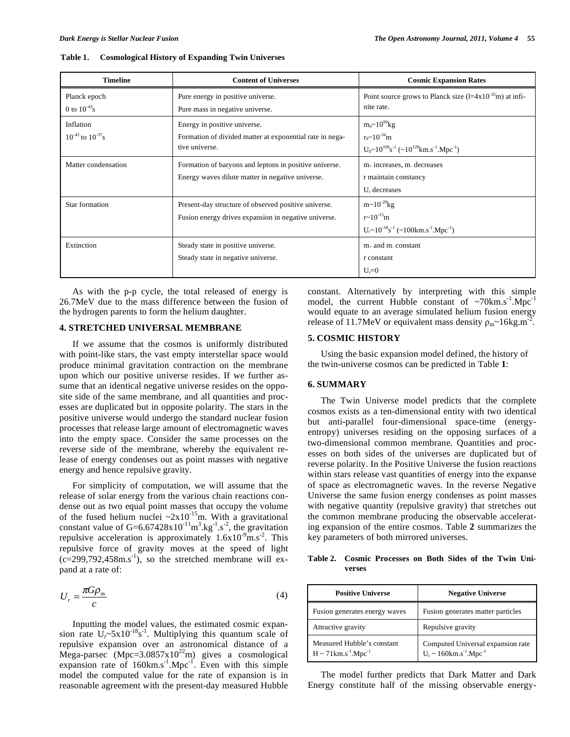| <b>Timeline</b>            | <b>Content of Universes</b>                              | <b>Cosmic Expansion Rates</b>                                                          |  |
|----------------------------|----------------------------------------------------------|----------------------------------------------------------------------------------------|--|
| Planck epoch               | Pure energy in positive universe.                        | Point source grows to Planck size $(l=4x10^{-35}m)$ at infi-                           |  |
| 0 to $10^{-43}$ s          | Pure mass in negative universe.                          | nite rate.                                                                             |  |
| Inflation                  | Energy in positive universe.                             | $m_0 \sim 10^{60}$ kg                                                                  |  |
| $10^{-43}$ to $10^{-37}$ s | Formation of divided matter at exponential rate in nega- | $r_0 \sim 10^{-34}$ m                                                                  |  |
|                            | tive universe.                                           | $U_0 \sim 10^{109} s^{-1}$ (~10 <sup>129</sup> km.s <sup>-1</sup> .Mpc <sup>-1</sup> ) |  |
| Matter condensation        | Formation of baryons and leptons in positive universe.   | $m+$ increases, m. decreases                                                           |  |
|                            | Energy waves dilute matter in negative universe.         | r maintain constancy                                                                   |  |
|                            |                                                          | $Ur$ decreases                                                                         |  |
| Star formation             | Present-day structure of observed positive universe.     | $m \sim 10^{-29}$ kg                                                                   |  |
|                            | Fusion energy drives expansion in negative universe.     | $r \sim 10^{-15}$ m                                                                    |  |
|                            |                                                          | $U_r \sim 10^{-18} s^{-1}$ (~100 km s <sup>-1</sup> . Mpc <sup>-1</sup> )              |  |
| Extinction                 | Steady state in positive universe.                       | $m+$ and m. constant                                                                   |  |
|                            | Steady state in negative universe.                       | r constant                                                                             |  |
|                            |                                                          | $U_r = 0$                                                                              |  |

| Table 1. | <b>Cosmological History of Expanding Twin Universes</b> |  |
|----------|---------------------------------------------------------|--|
|          |                                                         |  |

As with the p-p cycle, the total released of energy is 26.7MeV due to the mass difference between the fusion of the hydrogen parents to form the helium daughter.

#### **4. STRETCHED UNIVERSAL MEMBRANE**

If we assume that the cosmos is uniformly distributed with point-like stars, the vast empty interstellar space would produce minimal gravitation contraction on the membrane upon which our positive universe resides. If we further assume that an identical negative universe resides on the opposite side of the same membrane, and all quantities and processes are duplicated but in opposite polarity. The stars in the positive universe would undergo the standard nuclear fusion processes that release large amount of electromagnetic waves into the empty space. Consider the same processes on the reverse side of the membrane, whereby the equivalent release of energy condenses out as point masses with negative energy and hence repulsive gravity.

For simplicity of computation, we will assume that the release of solar energy from the various chain reactions condense out as two equal point masses that occupy the volume of the fused helium nuclei  $\approx 2 \times 10^{-15}$ m. With a gravitational constant value of G=6.67428x10<sup>-11</sup>m<sup>3</sup>.kg<sup>-1</sup>.s<sup>-2</sup>, the gravitation repulsive acceleration is approximately  $1.6x10^9$ m.s<sup>-2</sup>. This repulsive force of gravity moves at the speed of light  $(c=299,792,458 \text{m.s}^{-1})$ , so the stretched membrane will expand at a rate of:

$$
U_r = \frac{\pi G \rho_m}{c} \tag{4}
$$

Inputting the model values, the estimated cosmic expansion rate  $U_r$ ~5x10<sup>-18</sup>s<sup>-1</sup>. Multiplying this quantum scale of repulsive expansion over an astronomical distance of a Mega-parsec (Mpc= $3.0857 \times 10^{22}$ m) gives a cosmological expansion rate of  $160 \text{km.s}^{-1}$ . Mpc<sup>-1</sup>. Even with this simple model the computed value for the rate of expansion is in reasonable agreement with the present-day measured Hubble

constant. Alternatively by interpreting with this simple model, the current Hubble constant of  $\sim$ 70km.s<sup>-1</sup>.Mpc<sup>-1</sup> would equate to an average simulated helium fusion energy release of 11.7MeV or equivalent mass density  $\rho_m \sim 16 \text{kg.m}^2$ .

## **5. COSMIC HISTORY**

Using the basic expansion model defined, the history of the twin-universe cosmos can be predicted in Table **1**:

### **6. SUMMARY**

The Twin Universe model predicts that the complete cosmos exists as a ten-dimensional entity with two identical but anti-parallel four-dimensional space-time (energyentropy) universes residing on the opposing surfaces of a two-dimensional common membrane. Quantities and processes on both sides of the universes are duplicated but of reverse polarity. In the Positive Universe the fusion reactions within stars release vast quantities of energy into the expanse of space as electromagnetic waves. In the reverse Negative Universe the same fusion energy condenses as point masses with negative quantity (repulsive gravity) that stretches out the common membrane producing the observable accelerating expansion of the entire cosmos. Table **2** summarizes the key parameters of both mirrored universes.

**Table 2. Cosmic Processes on Both Sides of the Twin Universes** 

| <b>Positive Universe</b>                                                                      | <b>Negative Universe</b>                                                                                |
|-----------------------------------------------------------------------------------------------|---------------------------------------------------------------------------------------------------------|
| Fusion generates energy waves                                                                 | Fusion generates matter particles                                                                       |
| Attractive gravity                                                                            | Repulsive gravity                                                                                       |
| Measured Hubble's constant<br>$H \sim 71 \text{km} \cdot \text{s}^{-1} \cdot \text{Mpc}^{-1}$ | Computed Universal expansion rate<br>$U_r \sim 160 \text{km} \cdot \text{s}^{-1} \cdot \text{Mpc}^{-1}$ |

The model further predicts that Dark Matter and Dark Energy constitute half of the missing observable energy